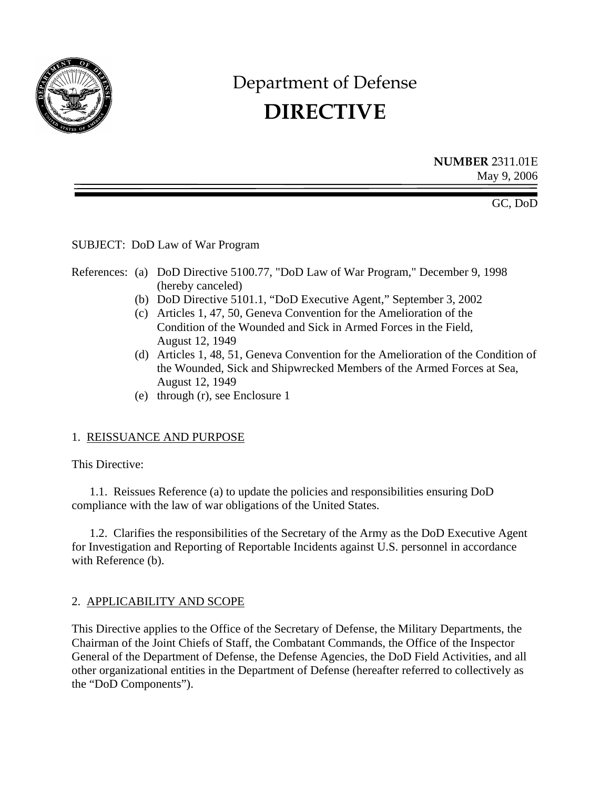<span id="page-0-0"></span>

# Department of Defense **DIRECTIVE**

**NUMBER** 2311.01E May 9, 2006

GC, DoD

SUBJECT: DoD Law of War Program

- References: (a) DoD Directive 5100.77, "DoD Law of War Program," December 9, 1998 (hereby canceled)
	- (b) DoD Directive 5101.1, "DoD Executive Agent," September 3, 2002
	- (c) Articles 1, 47, 50, Geneva Convention for the Amelioration of the Condition of the Wounded and Sick in Armed Forces in the Field, August 12, 1949
	- (d) Articles 1, 48, 51, Geneva Convention for the Amelioration of the Condition of the Wounded, Sick and Shipwrecked Members of the Armed Forces at Sea, August 12, 1949
	- (e) through (r), see Enclosure 1

# 1. REISSUANCE AND PURPOSE

This Directive:

1.1. Reissues [Reference \(a\)](#page-0-0) to update the policies and responsibilities ensuring DoD compliance with the law of war obligations of the United States.

1.2. Clarifies the responsibilities of the Secretary of the Army as the DoD Executive Agent for Investigation and Reporting of Reportable Incidents against U.S. personnel in accordance with Reference (b).

# 2. APPLICABILITY AND SCOPE

This Directive applies to the Office of the Secretary of Defense, the Military Departments, the Chairman of the Joint Chiefs of Staff, the Combatant Commands, the Office of the Inspector General of the Department of Defense, the Defense Agencies, the DoD Field Activities, and all other organizational entities in the Department of Defense (hereafter referred to collectively as the "DoD Components").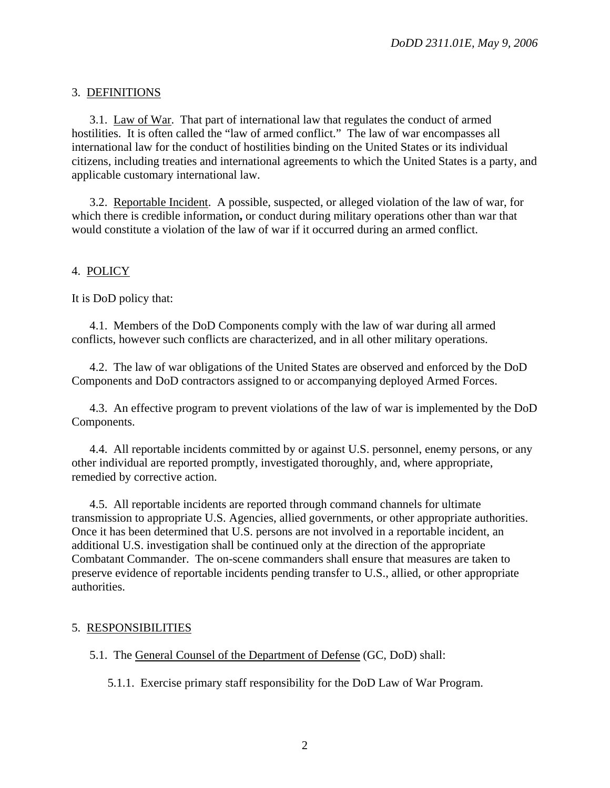# <span id="page-1-0"></span>3. DEFINITIONS

3.1. Law of War. That part of international law that regulates the conduct of armed hostilities. It is often called the "law of armed conflict." The law of war encompasses all international law for the conduct of hostilities binding on the United States or its individual citizens, including treaties and international agreements to which the United States is a party, and applicable customary international law.

3.2. Reportable Incident. A possible, suspected, or alleged violation of the law of war, for which there is credible information**,** or conduct during military operations other than war that would constitute a violation of the law of war if it occurred during an armed conflict.

# 4. POLICY

It is DoD policy that:

4.1. Members of the DoD Components comply with the law of war during all armed conflicts, however such conflicts are characterized, and in all other military operations.

4.2. The law of war obligations of the United States are observed and enforced by the DoD Components and DoD contractors assigned to or accompanying deployed Armed Forces.

4.3. An effective program to prevent violations of the law of war is implemented by the DoD Components.

4.4. All reportable incidents committed by or against U.S. personnel, enemy persons, or any other individual are reported promptly, investigated thoroughly, and, where appropriate, remedied by corrective action.

4.5. All reportable incidents are reported through command channels for ultimate transmission to appropriate U.S. Agencies, allied governments, or other appropriate authorities. Once it has been determined that U.S. persons are not involved in a reportable incident, an additional U.S. investigation shall be continued only at the direction of the appropriate Combatant Commander. The on-scene commanders shall ensure that measures are taken to preserve evidence of reportable incidents pending transfer to U.S., allied, or other appropriate authorities.

# 5. RESPONSIBILITIES

5.1. The General Counsel of the Department of Defense (GC, DoD) shall:

5.1.1. Exercise primary staff responsibility for the DoD Law of War Program.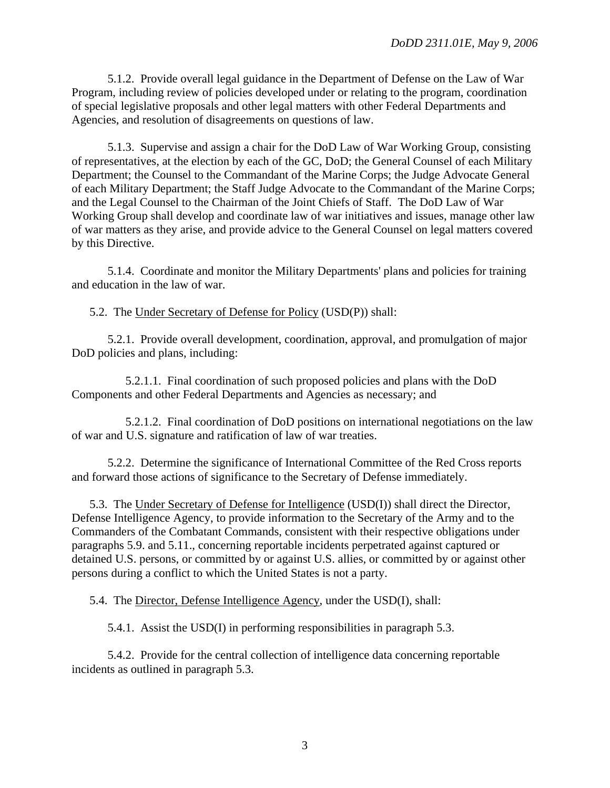5.1.2. Provide overall legal guidance in the Department of Defense on the Law of War Program, including review of policies developed under or relating to the program, coordination of special legislative proposals and other legal matters with other Federal Departments and Agencies, and resolution of disagreements on questions of law.

5.1.3. Supervise and assign a chair for the DoD Law of War Working Group, consisting of representatives, at the election by each of the GC, DoD; the General Counsel of each Military Department; the Counsel to the Commandant of the Marine Corps; the Judge Advocate General of each Military Department; the Staff Judge Advocate to the Commandant of the Marine Corps; and the Legal Counsel to the Chairman of the Joint Chiefs of Staff. The DoD Law of War Working Group shall develop and coordinate law of war initiatives and issues, manage other law of war matters as they arise, and provide advice to the General Counsel on legal matters covered by this Directive.

5.1.4. Coordinate and monitor the Military Departments' plans and policies for training and education in the law of war.

5.2. The Under Secretary of Defense for Policy (USD(P)) shall:

5.2.1. Provide overall development, coordination, approval, and promulgation of major DoD policies and plans, including:

5.2.1.1. Final coordination of such proposed policies and plans with the DoD Components and other Federal Departments and Agencies as necessary; and

5.2.1.2. Final coordination of DoD positions on international negotiations on the law of war and U.S. signature and ratification of law of war treaties.

5.2.2. Determine the significance of International Committee of the Red Cross reports and forward those actions of significance to the Secretary of Defense immediately.

5.3. The Under Secretary of Defense for Intelligence (USD(I)) shall direct the Director, Defense Intelligence Agency, to provide information to the Secretary of the Army and to the Commanders of the Combatant Commands, consistent with their respective obligations under [paragraphs 5.9.](#page-4-0) and [5.11.,](#page-5-0) concerning reportable incidents perpetrated against captured or detained U.S. persons, or committed by or against U.S. allies, or committed by or against other persons during a conflict to which the United States is not a party.

5.4. The Director, Defense Intelligence Agency, under the USD(I), shall:

5.4.1. Assist the USD(I) in performing responsibilities in paragraph 5.3.

5.4.2. Provide for the central collection of intelligence data concerning reportable incidents as outlined in paragraph 5.3.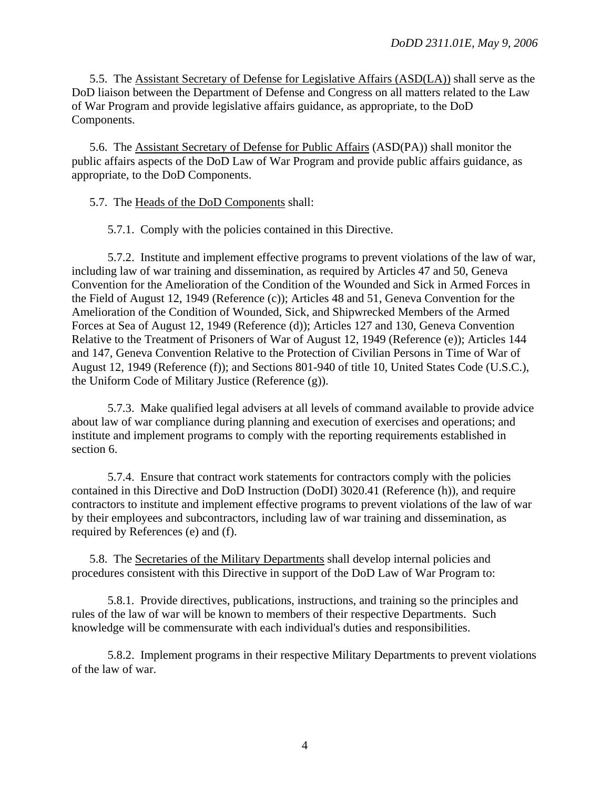<span id="page-3-0"></span>5.5. The Assistant Secretary of Defense for Legislative Affairs (ASD(LA)) shall serve as the DoD liaison between the Department of Defense and Congress on all matters related to the Law of War Program and provide legislative affairs guidance, as appropriate, to the DoD Components.

5.6. The Assistant Secretary of Defense for Public Affairs (ASD(PA)) shall monitor the public affairs aspects of the DoD Law of War Program and provide public affairs guidance, as appropriate, to the DoD Components.

5.7. The Heads of the DoD Components shall:

5.7.1. Comply with the policies contained in this Directive.

5.7.2. Institute and implement effective programs to prevent violations of the law of war, including law of war training and dissemination, as required by Articles 47 and 50, Geneva Convention for the Amelioration of the Condition of the Wounded and Sick in Armed Forces in the Field of August 12, 1949 (Reference (c)); Articles 48 and 51, Geneva Convention for the Amelioration of the Condition of Wounded, Sick, and Shipwrecked Members of the Armed Forces at Sea of August 12, 1949 (Reference (d)); Articles 127 and 130, Geneva Convention Relative to the Treatment of Prisoners of War of August 12, 1949 (Reference (e)); Articles 144 and 147, Geneva Convention Relative to the Protection of Civilian Persons in Time of War of August 12, 1949 (Reference (f)); and Sections 801-940 of title 10, United States Code (U.S.C.), the Uniform Code of Military Justice (Reference (g)).

5.7.3. Make qualified legal advisers at all levels of command available to provide advice about law of war compliance during planning and execution of exercises and operations; and institute and implement programs to comply with the reporting requirements established in [section 6.](#page-6-0)

5.7.4. Ensure that contract work statements for contractors comply with the policies contained in this Directive and DoD Instruction (DoDI) 3020.41 (Reference (h)), and require contractors to institute and implement effective programs to prevent violations of the law of war by their employees and subcontractors, including law of war training and dissemination, as required by References (e) and (f).

5.8. The Secretaries of the Military Departments shall develop internal policies and procedures consistent with this Directive in support of the DoD Law of War Program to:

5.8.1. Provide directives, publications, instructions, and training so the principles and rules of the law of war will be known to members of their respective Departments. Such knowledge will be commensurate with each individual's duties and responsibilities.

5.8.2. Implement programs in their respective Military Departments to prevent violations of the law of war.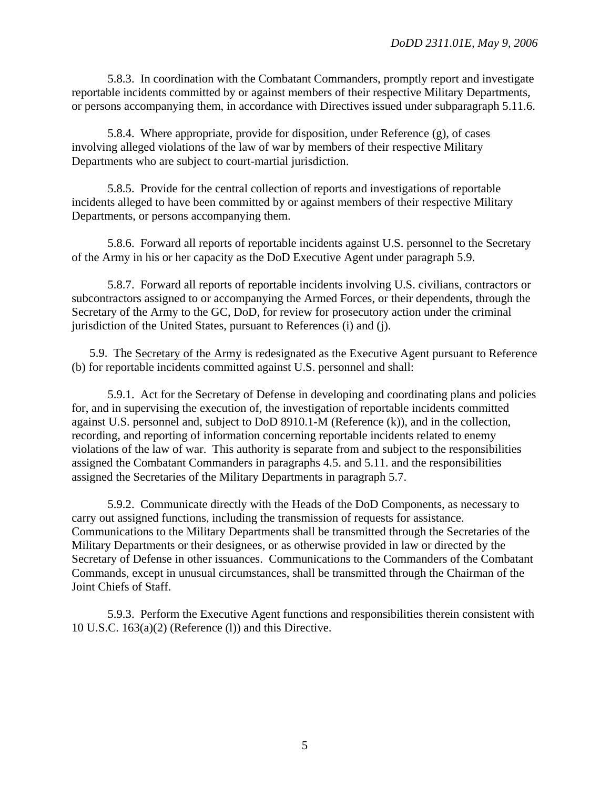<span id="page-4-0"></span>5.8.3. In coordination with the Combatant Commanders, promptly report and investigate reportable incidents committed by or against members of their respective Military Departments, or persons accompanying them, in accordance with Directives issued under [subparagraph 5.11.6](#page-5-0).

5.8.4. Where appropriate, provide for disposition, under [Reference \(g\),](#page-0-0) of cases involving alleged violations of the law of war by members of their respective Military Departments who are subject to court-martial jurisdiction.

5.8.5. Provide for the central collection of reports and investigations of reportable incidents alleged to have been committed by or against members of their respective Military Departments, or persons accompanying them.

5.8.6. Forward all reports of reportable incidents against U.S. personnel to the Secretary of the Army in his or her capacity as the DoD Executive Agent under [paragraph 5.9.](#page-4-0)

5.8.7. Forward all reports of reportable incidents involving U.S. civilians, contractors or subcontractors assigned to or accompanying the Armed Forces, or their dependents, through the Secretary of the Army to the GC, DoD, for review for prosecutory action under the criminal jurisdiction of the United States, pursuant to References (i) and (j).

5.9. The Secretary of the Army is redesignated as the Executive Agent pursuant to Reference (b) for reportable incidents committed against U.S. personnel and shall:

5.9.1. Act for the Secretary of Defense in developing and coordinating plans and policies for, and in supervising the execution of, the investigation of reportable incidents committed against U.S. personnel and, subject to DoD 8910.1-M [\(Reference \(k\)\),](#page-0-0) and in the collection, recording, and reporting of information concerning reportable incidents related to enemy violations of the law of war. This authority is separate from and subject to the responsibilities assigned the Combatant Commanders in [paragraphs 4.5.](#page-1-0) and [5.11.](#page-5-0) and the responsibilities assigned the Secretaries of the Military Departments in [paragraph 5.7.](#page-3-0)

5.9.2. Communicate directly with the Heads of the DoD Components, as necessary to carry out assigned functions, including the transmission of requests for assistance. Communications to the Military Departments shall be transmitted through the Secretaries of the Military Departments or their designees, or as otherwise provided in law or directed by the Secretary of Defense in other issuances. Communications to the Commanders of the Combatant Commands, except in unusual circumstances, shall be transmitted through the Chairman of the Joint Chiefs of Staff.

5.9.3. Perform the Executive Agent functions and responsibilities therein consistent with 10 U.S.C. 163(a)(2) (Reference (l)) and this Directive.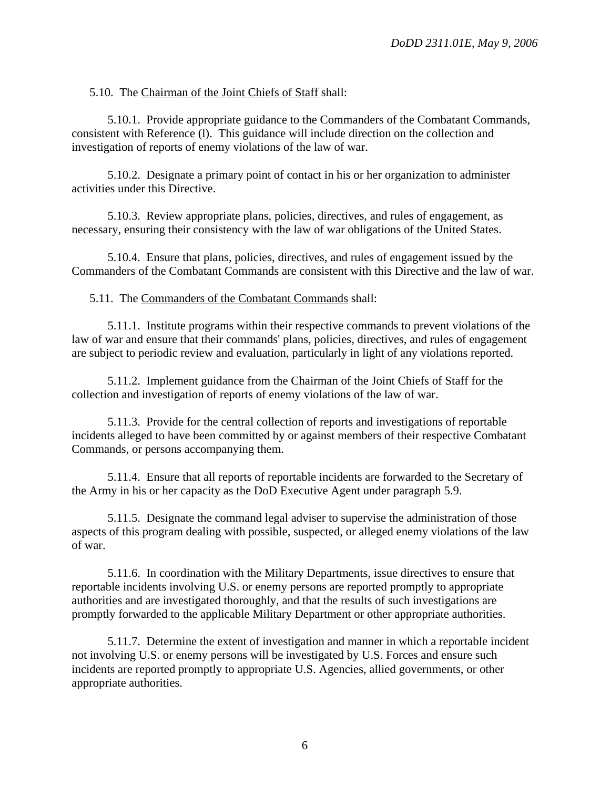<span id="page-5-0"></span>5.10. The Chairman of the Joint Chiefs of Staff shall:

5.10.1. Provide appropriate guidance to the Commanders of the Combatant Commands, consistent with Reference (l). This guidance will include direction on the collection and investigation of reports of enemy violations of the law of war.

5.10.2. Designate a primary point of contact in his or her organization to administer activities under this Directive.

5.10.3. Review appropriate plans, policies, directives, and rules of engagement, as necessary, ensuring their consistency with the law of war obligations of the United States.

5.10.4. Ensure that plans, policies, directives, and rules of engagement issued by the Commanders of the Combatant Commands are consistent with this Directive and the law of war.

5.11. The Commanders of the Combatant Commands shall:

5.11.1. Institute programs within their respective commands to prevent violations of the law of war and ensure that their commands' plans, policies, directives, and rules of engagement are subject to periodic review and evaluation, particularly in light of any violations reported.

5.11.2. Implement guidance from the Chairman of the Joint Chiefs of Staff for the collection and investigation of reports of enemy violations of the law of war.

5.11.3. Provide for the central collection of reports and investigations of reportable incidents alleged to have been committed by or against members of their respective Combatant Commands, or persons accompanying them.

5.11.4. Ensure that all reports of reportable incidents are forwarded to the Secretary of the Army in his or her capacity as the DoD Executive Agent under [paragraph 5.9.](#page-4-0)

5.11.5. Designate the command legal adviser to supervise the administration of those aspects of this program dealing with possible, suspected, or alleged enemy violations of the law of war.

5.11.6. In coordination with the Military Departments, issue directives to ensure that reportable incidents involving U.S. or enemy persons are reported promptly to appropriate authorities and are investigated thoroughly, and that the results of such investigations are promptly forwarded to the applicable Military Department or other appropriate authorities.

5.11.7. Determine the extent of investigation and manner in which a reportable incident not involving U.S. or enemy persons will be investigated by U.S. Forces and ensure such incidents are reported promptly to appropriate U.S. Agencies, allied governments, or other appropriate authorities.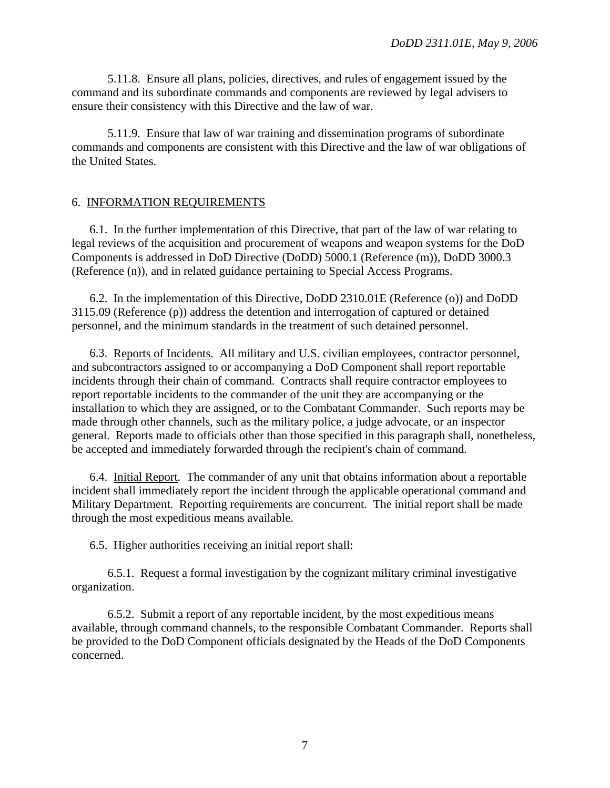<span id="page-6-0"></span>5.11.8. Ensure all plans, policies, directives, and rules of engagement issued by the command and its subordinate commands and components are reviewed by legal advisers to ensure their consistency with this Directive and the law of war.

5.11.9. Ensure that law of war training and dissemination programs of subordinate commands and components are consistent with this Directive and the law of war obligations of the United States.

#### 6. INFORMATION REQUIREMENTS

6.1. In the further implementation of this Directive, that part of the law of war relating to legal reviews of the acquisition and procurement of weapons and weapon systems for the DoD Components is addressed in DoD Directive (DoDD) 5000.1 (Reference (m)), DoDD 3000.3 (Reference (n)), and in related guidance pertaining to Special Access Programs.

6.2. In the implementation of this Directive, DoDD 2310.01E (Reference (o)) and DoDD 3115.09 (Reference (p)) address the detention and interrogation of captured or detained personnel, and the minimum standards in the treatment of such detained personnel.

6.3. Reports of Incidents. All military and U.S. civilian employees, contractor personnel, and subcontractors assigned to or accompanying a DoD Component shall report reportable incidents through their chain of command. Contracts shall require contractor employees to report reportable incidents to the commander of the unit they are accompanying or the installation to which they are assigned, or to the Combatant Commander. Such reports may be made through other channels, such as the military police, a judge advocate, or an inspector general. Reports made to officials other than those specified in this paragraph shall, nonetheless, be accepted and immediately forwarded through the recipient's chain of command.

6.4. Initial Report. The commander of any unit that obtains information about a reportable incident shall immediately report the incident through the applicable operational command and Military Department. Reporting requirements are concurrent. The initial report shall be made through the most expeditious means available.

6.5. Higher authorities receiving an initial report shall:

6.5.1. Request a formal investigation by the cognizant military criminal investigative organization.

6.5.2. Submit a report of any reportable incident, by the most expeditious means available, through command channels, to the responsible Combatant Commander. Reports shall be provided to the DoD Component officials designated by the Heads of the DoD Components concerned.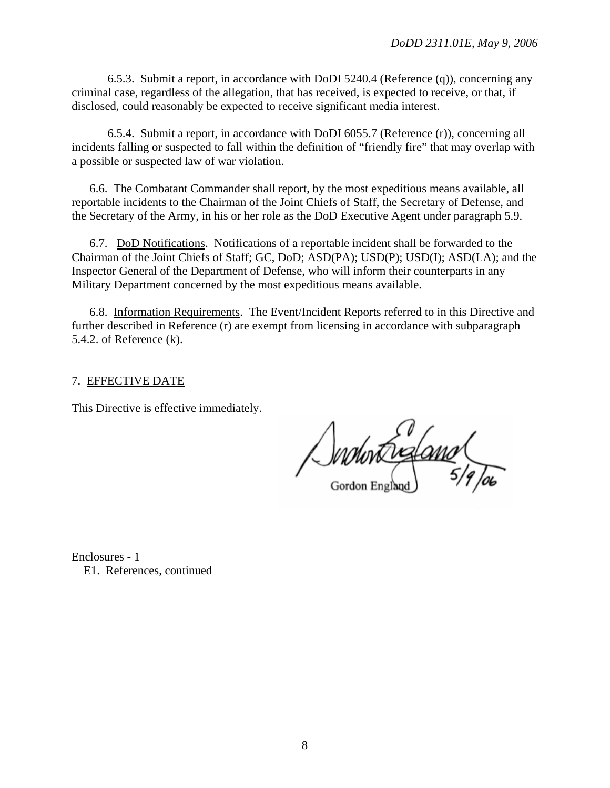6.5.3. Submit a report, in accordance with DoDI 5240.4 [\(Reference \(q\)\),](#page-8-0) concerning any criminal case, regardless of the allegation, that has received, is expected to receive, or that, if disclosed, could reasonably be expected to receive significant media interest.

6.5.4. Submit a report, in accordance with DoDI 6055.7 (Reference (r)), concerning all incidents falling or suspected to fall within the definition of "friendly fire" that may overlap with a possible or suspected law of war violation.

6.6. The Combatant Commander shall report, by the most expeditious means available, all reportable incidents to the Chairman of the Joint Chiefs of Staff, the Secretary of Defense, and the Secretary of the Army, in his or her role as the DoD Executive Agent under [paragraph 5.9.](#page-4-0)

6.7. DoD Notifications. Notifications of a reportable incident shall be forwarded to the Chairman of the Joint Chiefs of Staff; GC, DoD; ASD(PA); USD(P); USD(I); ASD(LA); and the Inspector General of the Department of Defense, who will inform their counterparts in any Military Department concerned by the most expeditious means available.

6.8. Information Requirements. The Event/Incident Reports referred to in this Directive and further described in [Reference \(r\)](#page-8-0) are exempt from licensing in accordance with subparagraph 5.4.2. of [Reference \(k\).](#page-0-0)

#### 7. EFFECTIVE DATE

This Directive is effective immediately.

Swhrt in and

Enclosures - 1 E1. [References, continued](#page-8-0)